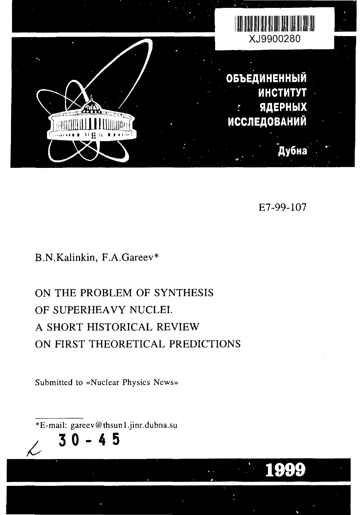

E7-99-107

1999

## B.N.Kalinkin, F.A.Gareev\*

# ON THE PROBLEM OF SYNTHESIS OF SUPERHEAVY NUCLEI. A SHORT HISTORICAL REVIEW ON FIRST THEORETICAL PREDICTIONS

Submitted to «Nuclear Physics News»

\*E-mail: gareev@thsun1.jinr.dubna.su 45

**30**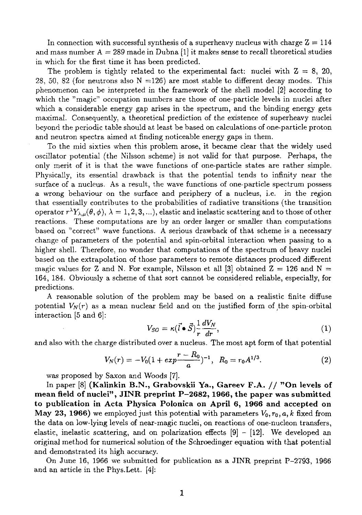In connection with successful synthesis of a superheavy nucleus with charge  $Z = 114$ and mass number  $A = 289$  made in Dubna [1] it makes sense to recall theoretical studies in which for the first time it has been predicted.

The problem is tightly related to the experimental fact: nuclei with  $Z = 8$ , 20, 28, 50, 82 (for neutrons also  $N = 126$ ) are most stable to different decay modes. This phenomenon can be interpreted in the framework of the shell model [2] according to which the "magic" occupation numbers are those of one-particle levels in nuclei after which a considerable energy gap arises in the spectrum, and the binding energy gets maximal. Consequently, a theoretical prediction of the existence of superheavy nuclei beyond the periodic table should at least be based on calculations of one-particle proton and neutron spectra aimed at finding noticeable energy gaps in them.

To the mid sixties when this problem arose, it became clear that the widely used oscillator potential (the Nilsson scheme) is not valid for that purpose. Perhaps, the only merit of it is that the wave functions of one-particle states are rather simple. Physically, its essential drawback is that the potential tends to infinity near the surface of a nucleus. As a result, the wave functions of one-particle spectrum possess a wrong behaviour on the surface and periphery of a nucleus, i.e. in the region that essentially contributes to the probabilities of radiative transitions (the transition operator  $r^{\lambda}Y_{\lambda,\mu}(\theta,\phi),\,\lambda=1,2,3,...),$  elastic and inelastic scattering and to those of other reactions. These computations are by an order larger or smaller than computations based on "correct" wave functions. A serious drawback of that scheme is a necessary change of parameters of the potential and spin-orbital interaction when passing to a higher shell. Therefore, no wonder that computations of the spectrum of heavy nuclei based on the extrapolation of those parameters to remote distances produced different magic values for Z and N. For example, Nilsson et all [3] obtained  $Z = 126$  and N 164, 184. Obviously a scheme of that sort cannot be considered reliable, especially, for predictions.

A reasonable solution of the problem may be based on a realistic finite diffuse potential  $V_N(r)$  as a mean nuclear field and on the justified form of the spin-orbital interaction [5 and 6]:

$$
V_{SO} = \kappa (\vec{l} \bullet \vec{S}) \frac{1}{r} \frac{dV_N}{dr}, \qquad (1)
$$

and also with the charge distributed over a nucleus. The most apt form of that potential

$$
V_N(r) = -V_0(1 + exp \frac{r - R_0}{a})^{-1}, \ R_0 = r_0 A^{1/3}.
$$
 (2)

was proposed by Saxon and Woods [7].<br>In paper [8] (Kalinkin B.N., Grabovskii Ya., Gareev F.A. // "On levels of In paper [8] **(Kalinkin B.N., Grabovskii Ya., Gareev F.A. // "On levels of mean field of nuclei", JINR preprint P-2682, 1966, the paper was submitted to publication in Acta Physica Polonica on April 6, 1966 and accepted on May 23, 1966)** we employed just this potential with parameters *Vo,r0,a,k* fixed from the data on low-lying levels of near-magic nuclei, on reactions of one-nucleon transfers, elastic, inelastic scattering, and on polarization effects  $[9]$  –  $[12]$ . We developed an original method for numerical solution of the Schroedinger equation with that potential and demonstrated its high accuracy.

On June 16, 1966 we submitted for publication as a JINR preprint P-2793, 1966 and an article in the Phys.Lett. [4]: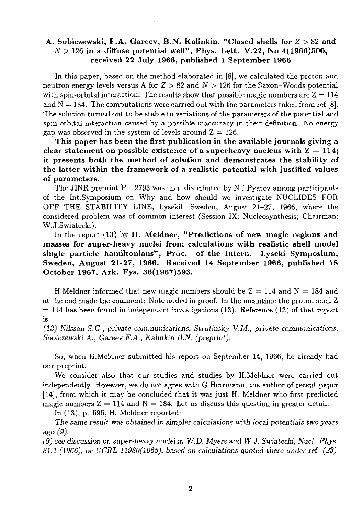#### **A. Sobiczewski, F.A. Gareev, B.N. Kalinkin, "Closed shells for** *Z* **> 82 and** *N >* 126 **in a diffuse potential well", Phys. Lett. V.22, No 4(1966)500, received 22 July 1966, published 1 September 1966**

In this paper, based on the method elaborated in [8], we calculated the proton and neutron energy levels versus A for *Z* > 82 and *N >* 126 for the Saxon-Woods potential with spin-orbital interaction. The results show that possible magic numbers are  $Z = 114$ and  $N = 184$ . The computations were carried out with the parameters taken from ref.[8]. The solution turned out to be stable to variations of the parameters of the potential and spin-orbital interaction caused by a possible inaccuracy in their definition. No energy gap was observed in the system of levels around  $Z = 126$ .

**This paper has been the first publication in the available journals giving a** clear statement on possible existence of a superheavy nucleus with  $Z = 114$ ; **it presents both the method of solution and demonstrates the stability of the latter within the framework of a realistic potential with justified values of parameters.**

The JINR preprint  $P - 2793$  was then distributed by N.I.Pyatov among participants of the Int.Symposium on Why and how should we investigate NUCLIDES FOR OFF THE STABILITY LINE, Lysekil, Sweden, August 21-27, 1966, where the considered problem was of common interest (Session IX: Nucleosynthesis; Chairman: W.J.Swiatecki).

In the report (13) by **H. Meldner, "Predictions of new magic regions and masses for super-heavy nuclei from calculations with realistic shell model single particle hamiltonians", Proc. of the Intern. Lyseki Symposium, Sweden, August 21-27, 1966. Received 14 September 1966, published 18 October 1967, Ark. Fys. 36(1967)593.**

**H.**Meldner informed that new magic numbers should be  $Z = 114$  and  $N = 184$  and at the end made the comment: Note added in proof. In the meantime the proton shell Z  $= 114$  has been found in independent investigations (13). Reference (13) of that report is

*(13) Nilsson S.G., private communications, Strutinsky V.M., private communications, Sobiczewski A., Gareev F.A., Kalinkin B.N. (preprint).*

So, when H.Meldner submitted his report on September 14, 1966, he already had our preprint.

We consider also that our studies and studies by H.Meldner were carried out independently. However, we do not agree with G.Herrmann, the author of recent paper [14], from which it may be concluded that it was just H. Meldner who first predicted magic numbers  $Z = 114$  and  $N = 184$ . Let us discuss this question in greater detail.

In (13), p. 595, H. Meldner reported:

*The same result was obtained in simpler calculations with local potentials two years ago (9).*

*(9)* see *discussion on super-heavy nuclei in W.D. Myers and W.J. Swiatecki, Nucl. Phys. 81,1 (1966); or UCRL-11980(1965), based on calculations quoted there under ref. (23)*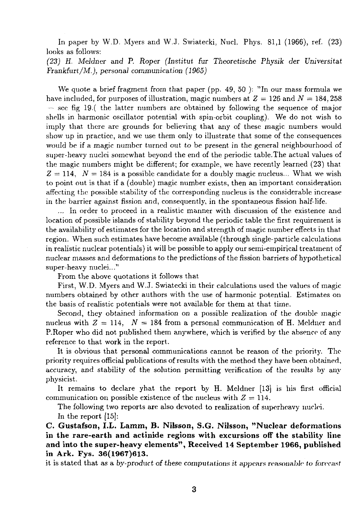In paper by W.D. Myers and W.J. Swiatecki, Nucl. Phys. 81,1 (1966), ref. (23) looks as follows:

*(23) H. Meldner and P. Roper (Institut* fur *Theoretische Physik der Universitut Frankfurt/M.), personal communication (1965)*

We quote a brief fragment from that paper (pp. 49, 50): "In our mass formula we have included, for purposes of illustration, magic numbers at  $Z = 126$  and  $N = 184,258$ — see fig 19.( the latter numbers are obtained by following the sequence of major shells in harmonic oscillator potential with spin-orbit coupling). We do not wish to imply that there are grounds for believing that any of these magic numbers would show up in practice, and we use them only to illustrate that some of the consequences would be if a magic number turned out to be present in the general neighbourhood of super-heavy nuclei somewhat beyond the end of the periodic table.The actual values of the magic numbers might be different; for example, we have recently learned (23) that  $Z = 114$ ,  $N = 184$  is a possible candidate for a doubly magic nucleus... What we wish to point out is that if a (double) magic number exists, then an important consideration affecting the possible stability of the corresponding nucleus is the considerable increase in the barrier against fission and, consequently, in the spontaneous fission half-life.

... In order to proceed in a realistic manner with discussion of the existence and location of possible islands of stability beyond the periodic table the first requirement is the availability of estimates for the location and strength of magic number effects in that region. When such estimates have become available (through single-particle calculations in realistic nuclear potentials) it will be possible to apply our semi-empirical treatment of nuclear masses and deformations to the predictions of the fission barriers of hypothetical super-heavy nuclei..."

From the above quotations it follows that

First, W.D. Myers and W.J. Swiatecki in their calculations used the values of magic numbers obtained by other authors with the use of harmonic potential. Estimates on the basis of realistic potentials were not available for them at that time.

Second, they obtained information on a possible realization of the double magic nucleus with  $Z = 114$ ,  $N = 184$  from a personal communication of H. Meldner and P.Roper who did not published them anywhere, which is verified by the absence of any reference to that work in the report.

It is obvious that personal communications cannot be reason of the priority. The priority requires official publications of results with the method they have been obtained, accuracy, and stability of the solution permitting verification of the results by any physicist.

It remains to declare yhat the report by H. Meldner [13] is his first official communication on possible existence of the nucleus with  $Z = 114$ .

The following two reports are also devoted to realization of superheavy nuclei. In the report [15]:

**C. Gustafson, I.L. Lamm, B. Nilsson, S.G. Nilsson, "Nuclear deformations in the rare-earth and actinide regions with excursions off the stability line and into the super-heavy elements", Received 14 September 1966, published in Ark. Fys. 36(1967)613.**

it is stated that as a by-product of *these, computations it* appears reasonable *to forecast*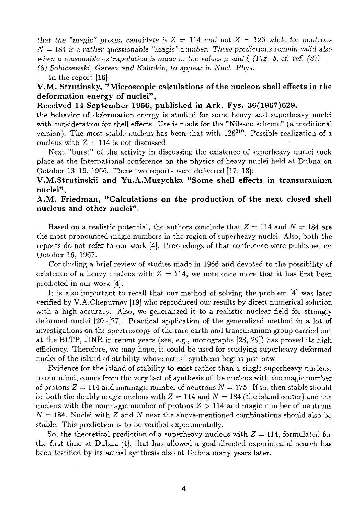*that the "magic" proton candidate is*  $Z = 114$  *and not*  $Z = 126$  while for neutrons *N —* 184 is a *rather questionable "magic" number. These predictions remain valid also* when a reasonable extrapolation is made in the values  $\mu$  and  $\zeta$  (Fig. 5, cf. ref. (8))

*(8) Sobiczewski, Gareev and Kalinkin, to appear in Nucl. Phys.*

In the report [16]:

#### **V.M. Strutinsky, "Microscopic calculations of the nucleon shell effects in the deformation energy of nuclei",**

#### **Received 14 September 1966, published in Ark. Fys. 36(1967)629.**

the behavior of deformation energy is studied for some heavy and superheavy nuclei with consideration for shell effects. Use is made for the "Nilsson scheme" (a traditional version). The most stable nucleus has been that with 126<sup>310</sup>. Possible realization of a nucleus with  $Z = 114$  is not discussed.

Next "burst" of the activity in discussing the existence of superheavy nuclei took place at the International conference on the physics of heavy nuclei held at Dubna on October 13-19, 1966. There two reports were delivered [17, 18]:

#### **V.M.Strutinskii and Yu.A.Muzychka "Some shell effects in transuranium nuclei",**

#### **A.M. Friedman, "Calculations on the production of the next closed shell nucleus and other nuclei".**

Based on a realistic potential, the authors conclude that  $Z = 114$  and  $N = 184$  are the most pronounced magic numbers in the region of superheavy nuclei. Also, both the reports do not refer to our work [4]. Proceedings of that conference were published on October 16, 1967.

Concluding a brief review of studies made in 1966 and devoted to the possibility of existence of a heavy nucleus with  $Z = 114$ , we note once more that it has first been predicted in our work [4].

It is also important to recall that our method of solving the problem [4] was later verified by V.A.Chepurnov [19] who reproduced our results by direct numerical solution with a high accuracy. Also, we generalized it to a realistic nuclear field for strongly deformed nuclei [20]-[27], Practical application of the generalized method in a lot of investigations on the spectroscopy of the rare-earth and transuranium group carried out at the BLTP, JINR in recent years (see, e.g., monographs [28, 29]) has proved its high efficiency. Therefore, we may hope, it could be used for studying superheavy deformed nuclei of the island of stability whose actual synthesis begins just now.

Evidence for the island of stability to exist rather than a single superheavy nucleus, to our mind, comes from the very fact of synthesis of the nucleus with the magic number of protons  $Z = 114$  and nonmagic number of neutrons  $N = 175$ . If so, then stable should be both the doubly magic nucleus with  $Z = 114$  and  $N = 184$  (the island center) and the nucleus with the nonmagic number of protons *Z >* 114 and magic number of neutrons  $N = 184$ . Nuclei with Z and N near the above-mentioned combinations should also be stable. This prediction is to be verified experimentally.

So, the theoretical prediction of a superheavy nucleus with *Z =* 114, formulated for the first time at Dubna [4], that has allowed a goal-directed experimental search has been testified by its actual synthesis also at Dubna many years later.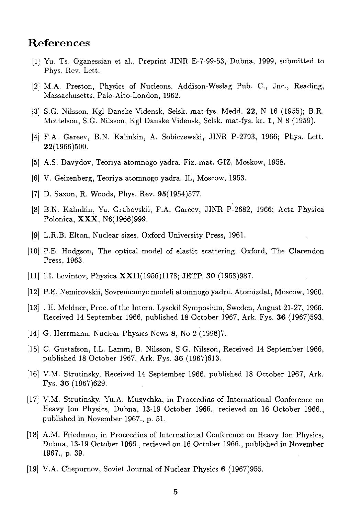# References

- [1] Yu. Ts. Oganessian et al., Preprint JINR E-7-99-53, Dubna, 1999, submitted to Phys. Rev. Lett.
- [2] M.A. Preston, Physics of Nucleons. Addison-Weslag Pub. C, Jnc, Reading, Massachusetts, Palo-Alto-London, 1962.
- [3] S.G. Nilsson, Kgl Danske Vidensk, Selsk. mat-fys. Medd. 22, N 16 (1955); B.R. Mottelson, S.G. Nilsson, Kgl Danske Vidensk, Selsk. mat-fys. kr. 1, N 8 (1959).
- [4] F.A. Gareev, B.N. Kalinkin, A. Sobiczewski, JINR P-2793, 1966; Phys. Lett. 22(1966)500.
- [5] A.S. Davydov, Teoriya atomnogo yadra. Fiz.-mat. GIZ, Moskow, 1958.
- [6] V. Geizenberg, Teoriya atomnogo yadra. IL, Moscow, 1953.
- [7] D. Saxon, R. Woods, Phys. Rev. 95(1954)577.
- [8] B.N. Kalinkin, Ya. Grabovskii, F.A. Gareev, JINR P-2682, 1966; Acta Physica Polonica, XXX, N6(1966)999.
- [9] L.R.B. Elton, Nuclear sizes. Oxford University Press, 1961.
- [10J P.E. Hodgson, The optical model of elastic scattering. Oxford, The Clarendon Press, 1963.
- [11] I.I. Levintov, Physica XXII(1956)1178; JETP, 30 (1958)987.
- [12] P.E. Nemirovskii, Sovremennye modeli atomnogo yadra. Atomizdat, Moscow, 1960.
- [13] . H. Meldner, Proc. of the Intern. Lysekil Symposium, Sweden, August 21-27, 1966. Received 14 September 1966, published 18 October 1967, Ark. Fys. 36 (1967)593.
- [14] G. Herrmann, Nuclear Physics News 8, No 2 (1998)7.
- [15] C. Gustafson, I.L. Lamm, B. Nilsson, S.G. Nilsson, Received 14 September 1966, published 18 October 1967, Ark. Fys. 36 (1967)613.
- [16] V.M. Strutinsky, Received 14 September 1966, published 18 October 1967, Ark. Fys. 36 (1967)629.
- [17] V.M. Strutinsky, Yu.A. Muzychka, in Proceedins of International Conference on Heavy Ion Physics, Dubna, 13-19 October 1966., recieved on 16 October 1966., published in November 1967., p. 51.
- [18] A.M. Friedman, in Proceedins of International Conference on Heavy Ion Physics, Dubna, 13-19 October 1966., recieved on 16 October 1966., published in November 1967., p. 39.
- [19] V.A. Chepurnov, Soviet Journal of Nuclear Physics 6 (1967)955.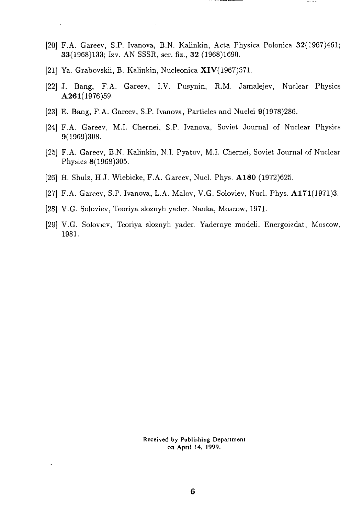- [20] F.A. Gareev, S.P. Ivanova, B.N. Kalinkin, Acta Physica Polonica 32(1967)461; 33(1968)133; Izv. AN SSSR, ser. fiz., 32 (1968)1690.
- [21] Ya. Grabovskii, B. Kalinkin, Nucleonica XIV(1967)571.
- [22] J. Bang, F.A. Gareev, I.V. Pusynin, R.M. Jamalejev, Nuclear Physics A261(1976)59.
- [23] E. Bang, F.A. Gareev, S.P. Ivanova, Particles and Nuclei 9(1978)286.
- [24] F.A. Gareev, M.I. Chernei, S.P. Ivanova, Soviet Journal of Nuclear Physics 9(1969)308.
- [25] F.A. Gareev, B.N. Kalinkin, N.I. Pyatov, M.I. Chernei, Soviet Journal of Nuclear Physics 8(1968)305.
- [26] H. Shulz, H.J. Wiebicke, F.A. Gareev, Nucl. Phys. A180 (1972)625.
- [27] F.A. Gareev, S.P. Ivanova, L.A. Malov, V.G. Soloviev, Nucl. Phys. A171(1971)3.
- [28] V.G. Soloviev, Teoriya sloznyh yader. Nauka, Moscow, 1971.
- [29] V.G. Soloviev, Teoriya sloznyh yader. Yadernye modeli. Energoizdat, Moscow, 1981.

Received by Publishing Department on April 14, 1999.

 $\omega$  .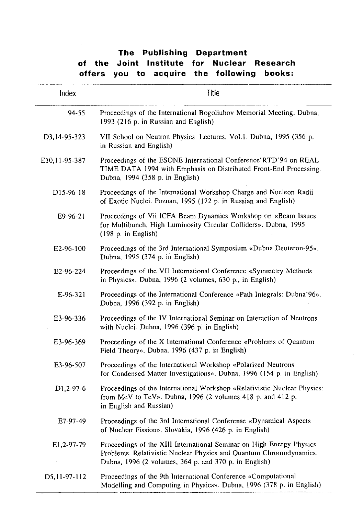## **The Publishing Department of the Joint Institute for Nuclear Research offers you to acquire the following books:**

| Index                   | Title                                                                                                                                                                                               |
|-------------------------|-----------------------------------------------------------------------------------------------------------------------------------------------------------------------------------------------------|
| 94-55                   | Proceedings of the International Bogoliubov Memorial Meeting. Dubna,<br>1993 (216 p. in Russian and English)                                                                                        |
| D3.14-95-323            | VII School on Neutron Physics. Lectures. Vol.1. Dubna, 1995 (356 p.<br>in Russian and English)                                                                                                      |
| E10,11-95-387           | Proceedings of the ESONE International Conference RTD'94 on REAL<br>TIME DATA 1994 with Emphasis on Distributed Front-End Processing.<br>Dubna, 1994 (358 p. in English)                            |
| D <sub>15</sub> -96-18  | Proceedings of the International Workshop Charge and Nucleon Radii<br>of Exotic Nuclei. Poznan, 1995 (172 p. in Russian and English)                                                                |
| $E9-96-21$              | Proceedings of Vii ICFA Beam Dynamics Workshop on «Beam Issues<br>for Multibunch, High Luminosity Circular Colliders». Dubna, 1995<br>(198 p. in English)                                           |
| E2-96-100               | Proceedings of the 3rd International Symposium «Dubna Deuteron-95».<br>Dubna, 1995 (374 p. in English)                                                                                              |
| E2-96-224               | Proceedings of the VII International Conference «Symmetry Methods<br>in Physics». Dubna, 1996 (2 volumes, 630 p., in English)                                                                       |
| $E-96-321$              | Proceedings of the International Conference «Path Integrals: Dubna'96».<br>Dubna, 1996 (392 p. in English)                                                                                          |
| E3-96-336               | Proceedings of the IV International Seminar on Interaction of Neutrons<br>with Nuclei. Duhna, 1996 (396 p. in English)                                                                              |
| E3-96-369               | Proceedings of the X International Conference «Problems of Quantum<br>Field Theory». Dubna, 1996 (437 p. in English)                                                                                |
| E3-96-507               | Proceedings of the International Workshop «Polarized Neutrons<br>for Condensed Matter Investigations». Dubna, 1996 (154 p. in English)                                                              |
| D <sub>1</sub> , 2-97-6 | Proceedings of the International Workshop «Relativistic Nuclear Physics:<br>from MeV to TeV». Dubna, 1996 (2 volumes 418 p. and 412 p.<br>in English and Russian)                                   |
| E7-97-49                | Proceedings of the 3rd International Conferense «Dynamical Aspects<br>of Nuclear Fission». Slovakia, 1996 (426 p. in English)                                                                       |
| E1.2-97-79              | Proceedings of the XIII International Seminar on High Energy Physics<br>Problems. Relativistic Nuclear Physics and Quantum Chromodynamics.<br>Dubna, 1996 (2 volumes, 364 p. and 370 p. in English) |
| D5,11-97-112            | Proceedings of the 9th International Conference «Computational<br>Modelling and Computing in Physics». Dubna, 1996 (378 p. in English)                                                              |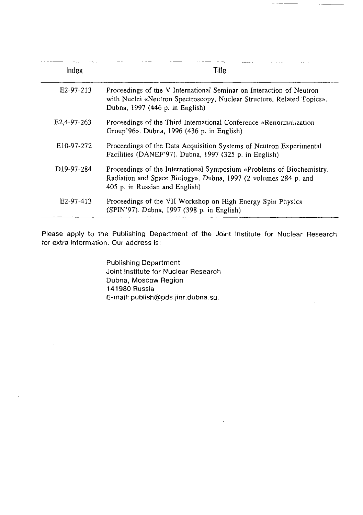| Index                   | Title                                                                                                                                                                             |
|-------------------------|-----------------------------------------------------------------------------------------------------------------------------------------------------------------------------------|
| E <sub>2</sub> -97-213  | Proceedings of the V International Seminar on Interaction of Neutron<br>with Nuclei «Neutron Spectroscopy, Nuclear Structure, Related Topics».<br>Dubna, 1997 (446 p. in English) |
| E <sub>2.4</sub> 97-263 | Proceedings of the Third International Conference «Renormalization<br>Group'96». Dubna, 1996 (436 p. in English)                                                                  |
| E10-97-272              | Proceedings of the Data Acquisition Systems of Neutron Experimental<br>Facilities (DANEF'97). Dubna, 1997 (325 p. in English)                                                     |
| D <sub>19</sub> -97-284 | Proceedings of the International Symposium «Problems of Biochemistry.<br>Radiation and Space Biology». Dubna, 1997 (2 volumes 284 p. and<br>405 p. in Russian and English)        |
| E <sub>2</sub> -97-413  | Proceedings of the VII Workshop on High Energy Spin Physics<br>(SPIN'97). Dubna, 1997 (398 p. in English)                                                                         |

Please apply to the Publishing Department of the Joint Institute for Nuclear Research for extra information. Our address is:

> Publishing Department Joint Institute for Nuclear Research Dubna, Moscow Region 141980 Russia E-mail: publish@pds.jinr.dubna.su.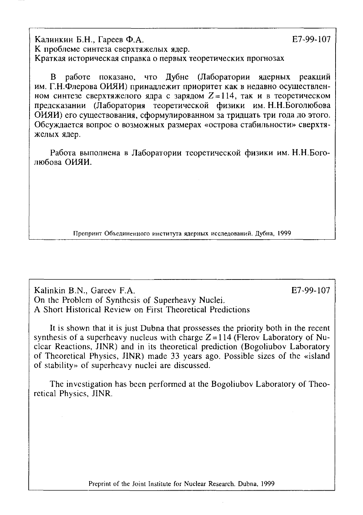Калинки Б.Н., Гарее Ф.А. Е7-99-107 К проблеме синтеза сверхтяжелых ядер. Краткая историческая справка о первых теоретических прогнозах

В работе показано, что Лубне (Лаборатории ядерных реакций им. Г.Н.Флерова ОИЯИ) принадлежит приоритет как в недавно осуществленном синтезе сверхтяжелого ядра с зарядом  $Z = 114$ , так и в теоретическом предсказании (Лаборатория теоретической физики им. Н.Н.Боголюбова ОИЯИ) его существования, сформулированном за тридцать три года до этого. Обсуждается вопрос о возможных размерах «острова стабильности» сверхтяжелых ядер.

Работа выполнена в Лаборатории теоретической физики им. Н.Н.Боголюбова ОИЯИ.

Препринт Объединенного института ядерных исследований. Дубна, 1999

Kalinkin B.N., Gareev F.A. E7-99-107 On the Problem of Synthesis of Superheavy Nuclei. A Short Historical Review on First Theoretical Predictions

It is shown that it is just Dubna that prossesses the priority both in the recent synthesis of a superheavy nucleus with charge  $Z = 114$  (Flerov Laboratory of Nuclear Reactions, JINR) and in its theoretical prediction (Bogoliubov Laboratory of Theoretical Physics, JINR) made 33 years ago. Possible sizes of the «island of stability» of superheavy nuclei are discussed.

The investigation has been performed at the Bogoliubov Laboratory of Theo retical Physics, JINR.